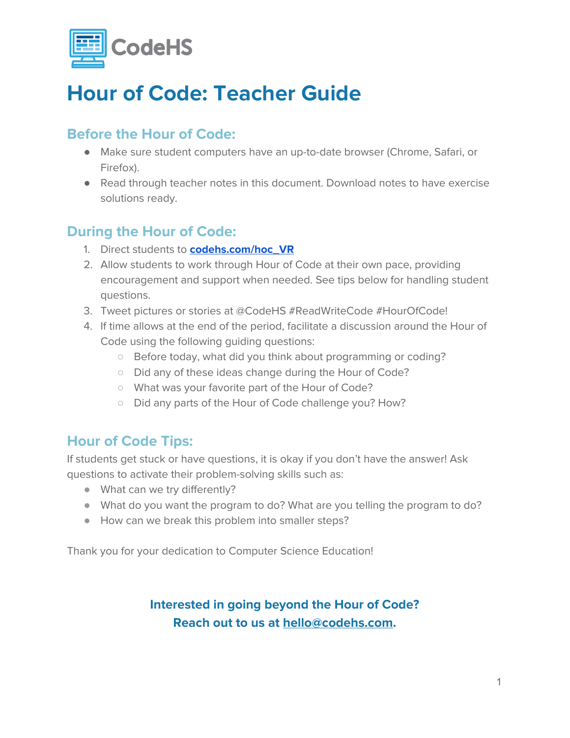

## **Hour of Code: Teacher Guide**

## **Before the Hour of Code:**

- Make sure student computers have an up-to-date browser (Chrome, Safari, or Firefox).
- Read through teacher notes in this document. Download notes to have exercise solutions ready.

## **During the Hour of Code:**

- 1. Direct students to **[codehs.com/hoc\\_VR](http://codehs.com/hoc_VR)**
- 2. Allow students to work through Hour of Code at their own pace, providing encouragement and support when needed. See tips below for handling student questions.
- 3. Tweet pictures or stories at @CodeHS #ReadWriteCode #HourOfCode!
- 4. If time allows at the end of the period, facilitate a discussion around the Hour of Code using the following guiding questions:
	- Before today, what did you think about programming or coding?
	- Did any of these ideas change during the Hour of Code?
	- What was your favorite part of the Hour of Code?
	- Did any parts of the Hour of Code challenge you? How?

### **Hour of Code Tips:**

If students get stuck or have questions, it is okay if you don't have the answer! Ask questions to activate their problem-solving skills such as:

- What can we try differently?
- What do you want the program to do? What are you telling the program to do?
- How can we break this problem into smaller steps?

Thank you for your dedication to Computer Science Education!

### **Interested in going beyond the Hour of Code? Reach out to us at [hello@codehs.com](mailto:hello@codehs.com).**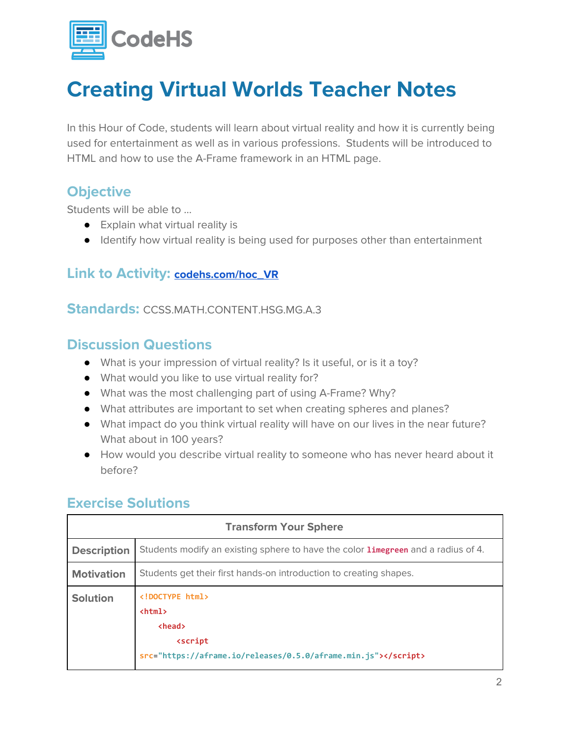

In this Hour of Code, students will learn about virtual reality and how it is currently being used for entertainment as well as in various professions. Students will be introduced to HTML and how to use the A-Frame framework in an HTML page.

### **Objective**

Students will be able to …

- Explain what virtual reality is
- Identify how virtual reality is being used for purposes other than entertainment

### **Link to Activity: [codehs.com/hoc\\_VR](http://codehs.com/hoc_VR)**

#### **Standards:** CCSS.MATH.CONTENT.HSG.MG.A.3

### **Discussion Questions**

- What is your impression of virtual reality? Is it useful, or is it a toy?
- What would you like to use virtual reality for?
- What was the most challenging part of using A-Frame? Why?
- What attributes are important to set when creating spheres and planes?
- What impact do you think virtual reality will have on our lives in the near future? What about in 100 years?
- How would you describe virtual reality to someone who has never heard about it before?

### **Exercise Solutions**

| <b>Transform Your Sphere</b> |                                                                                                                                               |
|------------------------------|-----------------------------------------------------------------------------------------------------------------------------------------------|
| <b>Description</b>           | Students modify an existing sphere to have the color <b>limegreen</b> and a radius of 4.                                                      |
| <b>Motivation</b>            | Students get their first hands-on introduction to creating shapes.                                                                            |
| <b>Solution</b>              | html<br>$\hbox{\tt }$<br><b><head></head></b><br><b><script< b=""><br/>src="https://aframe.io/releases/0.5.0/aframe.min.js"&gt;</script<></b> |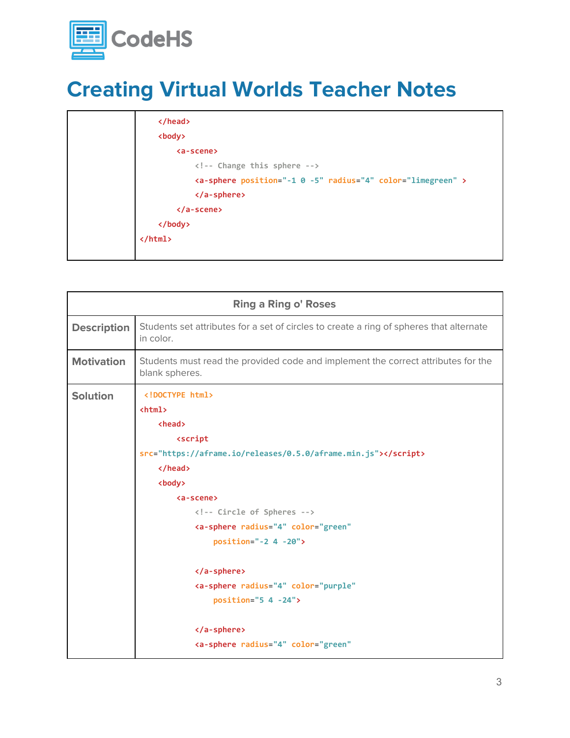

| <br><body></body>                                                     |
|-----------------------------------------------------------------------|
| <a-scene></a-scene>                                                   |
| Change this sphere                                                    |
| <a-sphere color="limegreen" position="-1 0 -5" radius="4"></a-sphere> |
|                                                                       |
| $\langle$ /a-scene>                                                   |
|                                                                       |
| $\langle$ /html>                                                      |
|                                                                       |

| <b>Ring a Ring o' Roses</b> |                                                                                                                                                                                                                                                                                                                                                                                                               |
|-----------------------------|---------------------------------------------------------------------------------------------------------------------------------------------------------------------------------------------------------------------------------------------------------------------------------------------------------------------------------------------------------------------------------------------------------------|
| <b>Description</b>          | Students set attributes for a set of circles to create a ring of spheres that alternate<br>in color.                                                                                                                                                                                                                                                                                                          |
| <b>Motivation</b>           | Students must read the provided code and implement the correct attributes for the<br>blank spheres.                                                                                                                                                                                                                                                                                                           |
| <b>Solution</b>             | html<br>$\phi$ html $\phi$<br><b><head></head></b><br><script<br>src="https://aframe.io/releases/0.5.0/aframe.min.js"&gt;<br/><br/><body><br/><a-scene><br/><!-- Circle of Spheres --><br/><a-sphere <br="" color="green" radius="4"><math>position=" -2 4 -20"</math><br/></a-sphere><br/><a-sphere <br="" color="purple" radius="4"><math>position="5 4 -24"</math></a-sphere></a-scene></body></script<br> |
|                             | <br><a-sphere <="" color="green" radius="4" th=""></a-sphere>                                                                                                                                                                                                                                                                                                                                                 |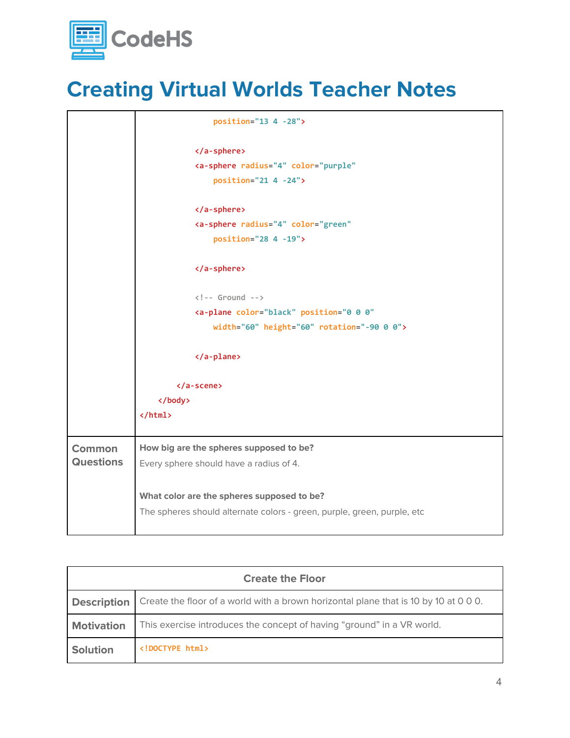

|                  | $position="13 4 -28"$                                                   |
|------------------|-------------------------------------------------------------------------|
|                  |                                                                         |
|                  | <a-sphere <="" color="purple" radius="4" th=""></a-sphere>              |
|                  | position="21 4 -24">                                                    |
|                  |                                                                         |
|                  | <a-sphere <="" color="green" radius="4" th=""></a-sphere>               |
|                  | position="28 4 -19">                                                    |
|                  |                                                                         |
|                  | $\langle$ !-- Ground -->                                                |
|                  | <a-plane <="" color="black" position="0 0 0" th=""></a-plane>           |
|                  | width="60" height="60" rotation="-90 0 0">                              |
|                  |                                                                         |
|                  |                                                                         |
|                  | $\langle$ /a-scene>                                                     |
|                  |                                                                         |
|                  | $\langle$ /html>                                                        |
| <b>Common</b>    | How big are the spheres supposed to be?                                 |
| <b>Questions</b> | Every sphere should have a radius of 4.                                 |
|                  |                                                                         |
|                  | What color are the spheres supposed to be?                              |
|                  | The spheres should alternate colors - green, purple, green, purple, etc |
|                  |                                                                         |

| <b>Create the Floor</b> |                                                                                      |
|-------------------------|--------------------------------------------------------------------------------------|
| <b>Description</b>      | Create the floor of a world with a brown horizontal plane that is 10 by 10 at 0 0 0. |
| <b>Motivation</b>       | This exercise introduces the concept of having "ground" in a VR world.               |
| <b>Solution</b>         | html                                                                                 |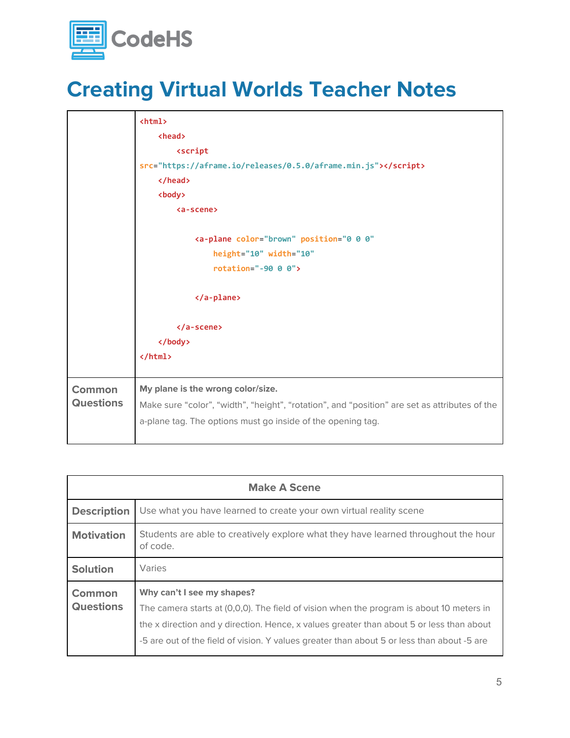

|                  | $\hbox{\tt }$                                                                                 |
|------------------|-----------------------------------------------------------------------------------------------|
|                  | <head></head>                                                                                 |
|                  | <script< th=""></script<>                                                                     |
|                  | src="https://aframe.io/releases/0.5.0/aframe.min.js">                                         |
|                  |                                                                                               |
|                  | <body></body>                                                                                 |
|                  | <a-scene></a-scene>                                                                           |
|                  |                                                                                               |
|                  | <a-plane <="" color="brown" position="0 0 0" th=""></a-plane>                                 |
|                  | height="10" width="10"                                                                        |
|                  | rotation="-90 $0$ $0$ ">                                                                      |
|                  |                                                                                               |
|                  |                                                                                               |
|                  |                                                                                               |
|                  | $\langle$ a-scene>                                                                            |
|                  |                                                                                               |
|                  | $\langle$ /html>                                                                              |
|                  |                                                                                               |
| Common           | My plane is the wrong color/size.                                                             |
| <b>Questions</b> | Make sure "color", "width", "height", "rotation", and "position" are set as attributes of the |
|                  | a-plane tag. The options must go inside of the opening tag.                                   |
|                  |                                                                                               |

| <b>Make A Scene</b>               |                                                                                                                                                                                                                                                                                                                  |
|-----------------------------------|------------------------------------------------------------------------------------------------------------------------------------------------------------------------------------------------------------------------------------------------------------------------------------------------------------------|
| <b>Description</b>                | Use what you have learned to create your own virtual reality scene                                                                                                                                                                                                                                               |
| <b>Motivation</b>                 | Students are able to creatively explore what they have learned throughout the hour<br>of code.                                                                                                                                                                                                                   |
| <b>Solution</b>                   | Varies                                                                                                                                                                                                                                                                                                           |
| <b>Common</b><br><b>Questions</b> | Why can't I see my shapes?<br>The camera starts at (0,0,0). The field of vision when the program is about 10 meters in<br>the x direction and y direction. Hence, x values greater than about 5 or less than about<br>-5 are out of the field of vision. Y values greater than about 5 or less than about -5 are |